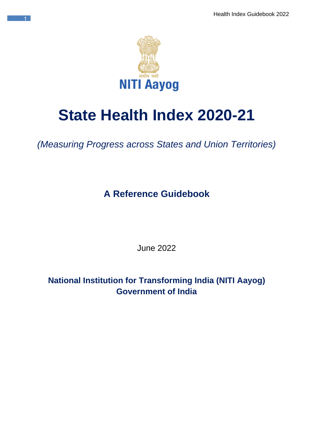

1

# **State Health Index 2020-21**

*(Measuring Progress across States and Union Territories)*

**A Reference Guidebook**

June 2022

**National Institution for Transforming India (NITI Aayog) Government of India**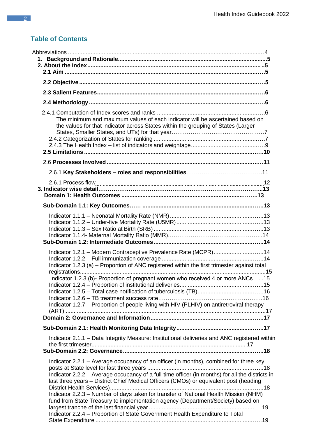# **Table of Contents**

| The minimum and maximum values of each indicator will be ascertained based on<br>the values for that indicator across States within the grouping of States (Larger                                                                                                                                                                                                                                                                                                                                                                           |
|----------------------------------------------------------------------------------------------------------------------------------------------------------------------------------------------------------------------------------------------------------------------------------------------------------------------------------------------------------------------------------------------------------------------------------------------------------------------------------------------------------------------------------------------|
|                                                                                                                                                                                                                                                                                                                                                                                                                                                                                                                                              |
|                                                                                                                                                                                                                                                                                                                                                                                                                                                                                                                                              |
|                                                                                                                                                                                                                                                                                                                                                                                                                                                                                                                                              |
|                                                                                                                                                                                                                                                                                                                                                                                                                                                                                                                                              |
|                                                                                                                                                                                                                                                                                                                                                                                                                                                                                                                                              |
| Indicator 1.2.1 - Modern Contraceptive Prevalence Rate (MCPR)14<br>Indicator 1.2.3 (a) - Proportion of ANC registered within the first trimester against total<br>Indicator 1.2.3 (b)- Proportion of pregnant women who received 4 or more ANCs15<br>Indicator 1.2.7 – Proportion of people living with HIV (PLHIV) on antiretroviral therapy                                                                                                                                                                                                |
|                                                                                                                                                                                                                                                                                                                                                                                                                                                                                                                                              |
| Indicator 2.1.1 - Data Integrity Measure: Institutional deliveries and ANC registered within                                                                                                                                                                                                                                                                                                                                                                                                                                                 |
| Indicator 2.2.1 – Average occupancy of an officer (in months), combined for three key<br>Indicator 2.2.2 - Average occupancy of a full-time officer (in months) for all the districts in<br>last three years – District Chief Medical Officers (CMOs) or equivalent post (heading<br>Indicator 2.2.3 - Number of days taken for transfer of National Health Mission (NHM)<br>fund from State Treasury to implementation agency (Department/Society) based on<br>Indicator 2.2.4 - Proportion of State Government Health Expenditure to Total |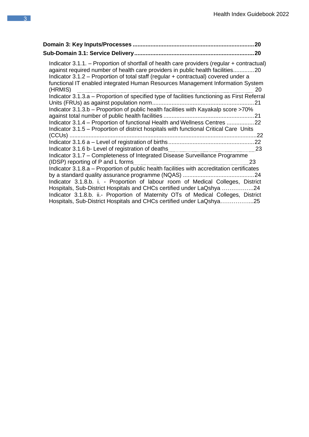| 20                                                                                                                                                                                                                                                                                                                                                                      |
|-------------------------------------------------------------------------------------------------------------------------------------------------------------------------------------------------------------------------------------------------------------------------------------------------------------------------------------------------------------------------|
|                                                                                                                                                                                                                                                                                                                                                                         |
| Indicator 3.1.1. – Proportion of shortfall of health care providers (regular + contractual)<br>against required number of health care providers in public health facilities20<br>Indicator 3.1.2 – Proportion of total staff (regular + contractual) covered under a<br>functional IT enabled integrated Human Resources Management Information System<br>(HRMIS)<br>20 |
| (HRMIS) manufacture and the matter of the matter of the matter of the matter of the locator 3.1.3.a – Proportion of specified type of facilities functioning as First Referral                                                                                                                                                                                          |
|                                                                                                                                                                                                                                                                                                                                                                         |
| Indicator 3.1.3.b – Proportion of public health facilities with Kayakalp score >70%                                                                                                                                                                                                                                                                                     |
| Indicator 3.1.4 - Proportion of functional Health and Wellness Centres 22                                                                                                                                                                                                                                                                                               |
| Indicator 3.1.5 – Proportion of district hospitals with functional Critical Care Units                                                                                                                                                                                                                                                                                  |
|                                                                                                                                                                                                                                                                                                                                                                         |
| -23                                                                                                                                                                                                                                                                                                                                                                     |
| Indicator 3.1.7 - Completeness of Integrated Disease Surveillance Programme                                                                                                                                                                                                                                                                                             |
| (IDSP) reporting of P and L forms<br>23                                                                                                                                                                                                                                                                                                                                 |
| Indicator 3.1.8.a – Proportion of public health facilities with accreditation certificates                                                                                                                                                                                                                                                                              |
|                                                                                                                                                                                                                                                                                                                                                                         |
| Indicator 3.1.8.b. i. - Proportion of labour room of Medical Colleges, District                                                                                                                                                                                                                                                                                         |
| Hospitals, Sub-District Hospitals and CHCs certified under LaQshya 24<br>Indicator 3.1.8.b. ii.- Proportion of Maternity OTs of Medical Colleges, District<br>Hospitals, Sub-District Hospitals and CHCs certified under LaQshya25                                                                                                                                      |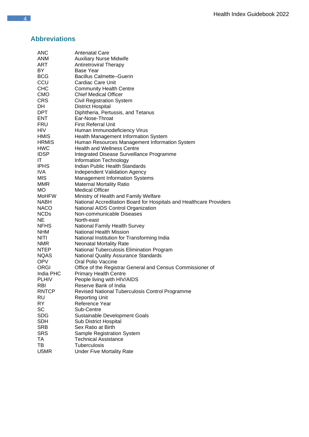## **Abbreviations**

| ANC          | Antenatal Care                                                      |
|--------------|---------------------------------------------------------------------|
| ANM          | <b>Auxiliary Nurse Midwife</b>                                      |
| ART          | <b>Antiretroviral Therapy</b>                                       |
| BY           | Base Year                                                           |
| <b>BCG</b>   | <b>Bacillus Calmette–Guerin</b>                                     |
| CCU          | <b>Cardiac Care Unit</b>                                            |
| <b>CHC</b>   | <b>Community Health Centre</b>                                      |
| <b>CMO</b>   | <b>Chief Medical Officer</b>                                        |
| CRS          | <b>Civil Registration System</b>                                    |
| DH           | <b>District Hospital</b>                                            |
| DPT          |                                                                     |
| ENT          | Diphtheria, Pertussis, and Tetanus<br>Ear-Nose-Throat               |
|              |                                                                     |
| <b>FRU</b>   | <b>First Referral Unit</b>                                          |
| HIV.         | Human Immunodeficiency Virus                                        |
| <b>HMIS</b>  | Health Management Information System                                |
| <b>HRMIS</b> | Human Resources Management Information System                       |
| HWC          | <b>Health and Wellness Centre</b>                                   |
| <b>IDSP</b>  | Integrated Disease Surveillance Programme                           |
| ΙT           | Information Technology                                              |
| <b>IPHS</b>  | Indian Public Health Standards                                      |
| IVA          | <b>Independent Validation Agency</b>                                |
| MIS          | <b>Management Information Systems</b>                               |
| MMR          | <b>Maternal Mortality Ratio</b>                                     |
| МO           | <b>Medical Officer</b>                                              |
| MoHFW        | Ministry of Health and Family Welfare                               |
| <b>NABH</b>  | National Accreditation Board for Hospitals and Healthcare Providers |
| <b>NACO</b>  | National AIDS Control Organization                                  |
| <b>NCDs</b>  | Non-communicable Diseases                                           |
| NE           | North-east                                                          |
| <b>NFHS</b>  | <b>National Family Health Survey</b>                                |
| <b>NHM</b>   | <b>National Health Mission</b>                                      |
| NITI         | National Institution for Transforming India                         |
| <b>NMR</b>   | <b>Neonatal Mortality Rate</b>                                      |
| <b>NTEP</b>  | National Tuberculosis Elimination Program                           |
| <b>NQAS</b>  | <b>National Quality Assurance Standards</b>                         |
| <b>OPV</b>   | Oral Polio Vaccine                                                  |
| <b>ORGI</b>  | Office of the Registrar General and Census Commissioner of          |
| India PHC    | <b>Primary Health Centre</b>                                        |
| <b>PLHIV</b> | People living with HIV/AIDS                                         |
| RBI          | Reserve Bank of India                                               |
| <b>RNTCP</b> | Revised National Tuberculosis Control Programme                     |
| <b>RU</b>    | <b>Reporting Unit</b>                                               |
| <b>RY</b>    | Reference Year                                                      |
| SC           | Sub-Centre                                                          |
| <b>SDG</b>   | Sustainable Development Goals                                       |
|              |                                                                     |
| <b>SDH</b>   | <b>Sub District Hospital</b><br>Sex Ratio at Birth                  |
| <b>SRB</b>   |                                                                     |
| <b>SRS</b>   | Sample Registration System                                          |
| ТA           | <b>Technical Assistance</b>                                         |
| TВ           | Tuberculosis                                                        |
| U5MR         | <b>Under Five Mortality Rate</b>                                    |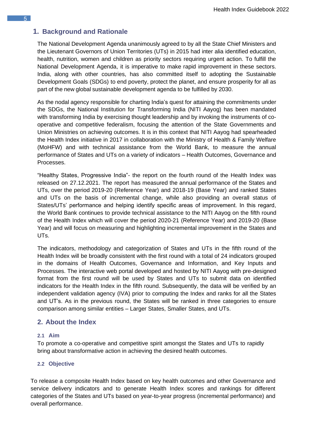## <span id="page-4-0"></span>**1. Background and Rationale**

The National Development Agenda unanimously agreed to by all the State Chief Ministers and the Lieutenant Governors of Union Territories (UTs) in 2015 had inter alia identified education, health, nutrition, women and children as priority sectors requiring urgent action. To fulfill the National Development Agenda, it is imperative to make rapid improvement in these sectors. India, along with other countries, has also committed itself to adopting the Sustainable Development Goals (SDGs) to end poverty, protect the planet, and ensure prosperity for all as part of the new global sustainable development agenda to be fulfilled by 2030.

As the nodal agency responsible for charting India's quest for attaining the commitments under the SDGs, the National Institution for Transforming India (NITI Aayog) has been mandated with transforming India by exercising thought leadership and by invoking the instruments of cooperative and competitive federalism, focusing the attention of the State Governments and Union Ministries on achieving outcomes. It is in this context that NITI Aayog had spearheaded the Health Index initiative in 2017 in collaboration with the Ministry of Health & Family Welfare (MoHFW) and with technical assistance from the World Bank, to measure the annual performance of States and UTs on a variety of indicators – Health Outcomes, Governance and Processes.

"Healthy States, Progressive India"- the report on the fourth round of the Health Index was released on 27.12.2021. The report has measured the annual performance of the States and UTs, over the period 2019-20 (Reference Year) and 2018-19 (Base Year) and ranked States and UTs on the basis of incremental change, while also providing an overall status of States/UTs' performance and helping identify specific areas of improvement. In this regard, the World Bank continues to provide technical assistance to the NITI Aayog on the fifth round of the Health Index which will cover the period 2020-21 (Reference Year) and 2019-20 (Base Year) and will focus on measuring and highlighting incremental improvement in the States and UTs.

The indicators, methodology and categorization of States and UTs in the fifth round of the Health Index will be broadly consistent with the first round with a total of 24 indicators grouped in the domains of Health Outcomes, Governance and Information, and Key Inputs and Processes. The interactive web portal developed and hosted by NITI Aayog with pre-designed format from the first round will be used by States and UTs to submit data on identified indicators for the Health Index in the fifth round. Subsequently, the data will be verified by an independent validation agency (IVA) prior to computing the Index and ranks for all the States and UT's. As in the previous round, the States will be ranked in three categories to ensure comparison among similar entities – Larger States, Smaller States, and UTs.

## <span id="page-4-2"></span><span id="page-4-1"></span>**2. About the Index**

#### **2.1 Aim**

To promote a co-operative and competitive spirit amongst the States and UTs to rapidly bring about transformative action in achieving the desired health outcomes.

#### <span id="page-4-3"></span>**2.2 Objective**

To release a composite Health Index based on key health outcomes and other Governance and service delivery indicators and to generate Health Index scores and rankings for different categories of the States and UTs based on year-to-year progress (incremental performance) and overall performance.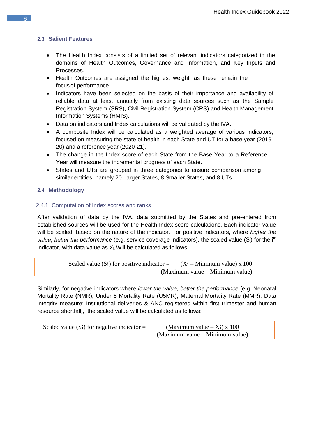#### <span id="page-5-0"></span>**2.3 Salient Features**

- The Health Index consists of a limited set of relevant indicators categorized in the domains of Health Outcomes, Governance and Information, and Key Inputs and Processes.
- Health Outcomes are assigned the highest weight, as these remain the focusof performance.
- Indicators have been selected on the basis of their importance and availability of reliable data at least annually from existing data sources such as the Sample Registration System (SRS), Civil Registration System (CRS) and Health Management Information Systems (HMIS).
- Data on indicators and Index calculations will be validated by the IVA.
- A composite Index will be calculated as a weighted average of various indicators, focused on measuring the state of health in each State and UT for a base year (2019- 20) and a reference year (2020-21).
- The change in the Index score of each State from the Base Year to a Reference Year will measure the incremental progress of each State.
- States and UTs are grouped in three categories to ensure comparison among similar entities, namely 20 Larger States, 8 Smaller States, and 8 UTs.

## <span id="page-5-1"></span>**2.4 Methodology**

#### <span id="page-5-2"></span>2.4.1 Computation of Index scores and ranks

After validation of data by the IVA, data submitted by the States and pre-entered from established sources will be used for the Health Index score calculations. Each indicator value will be scaled, based on the nature of the indicator. For positive indicators, where *higher the value, better the performance* (e.g. service coverage indicators), the scaled value (S<sub>i</sub>) for the i<sup>th</sup> indicator, with data value as  $X_i$ . Will be calculated as follows:

Scaled value (Si) for positive indicator = 
$$
\frac{(Xi - Minimum value) \times 100}{(Maximum value - Minimum value)}
$$

\n(Maximum value - Minimum value)

Similarly, for negative indicators where *lower the value, better the performance* [e.g. Neonatal Mortality Rate **(**NMR)**,** Under 5 Mortality Rate (U5MR), Maternal Mortality Rate (MMR), Data integrity measure: Institutional deliveries & ANC registered within first trimester and human resource shortfall], the scaled value will be calculated as follows:

| Scaled value $(S_i)$ for negative indicator = | (Maximum value $- X_i$ ) x 100  |  |  |
|-----------------------------------------------|---------------------------------|--|--|
|                                               | (Maximum value – Minimum value) |  |  |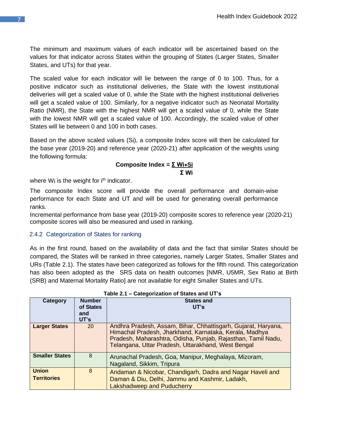The minimum and maximum values of each indicator will be ascertained based on the values for that indicator across States within the grouping of States (Larger States, Smaller States, and UTs) for that year.

The scaled value for each indicator will lie between the range of 0 to 100. Thus, for a positive indicator such as institutional deliveries, the State with the lowest institutional deliveries will get a scaled value of 0, while the State with the highest institutional deliveries will get a scaled value of 100. Similarly, for a negative indicator such as Neonatal Mortality Ratio (NMR), the State with the highest NMR will get a scaled value of 0, while the State with the lowest NMR will get a scaled value of 100. Accordingly, the scaled value of other States will lie between 0 and 100 in both cases.

Based on the above scaled values (Si), a composite Index score will then be calculated for the base year (2019-20) and reference year (2020-21) after application of the weights using the following formula:

#### **Composite Index = Σ Wi**∗**Si Σ Wi**

where  $W_i$  is the weight for  $i<sup>th</sup>$  indicator.

The composite Index score will provide the overall performance and domain-wise performance for each State and UT and will be used for generating overall performance ranks.

Incremental performance from base year (2019-20) composite scores to reference year (2020-21) composite scores will also be measured and used in ranking.

#### 2.4.2 Categorization of States for ranking

As in the first round, based on the availability of data and the fact that similar States should be compared, the States will be ranked in three categories, namely Larger States, Smaller States and URs (Table 2.1). The states have been categorized as follows for the fifth round. This categorization has also been adopted as the SRS data on health outcomes [NMR, U5MR, Sex Ratio at Birth (SRB) and Maternal Mortality Ratio] are not available for eight Smaller States and UTs.

<span id="page-6-0"></span>

|                                    |                                           | .<br><b>UNIVERSITY OF UNIVERSITY OF S</b>                                                                                                                                                                                                     |
|------------------------------------|-------------------------------------------|-----------------------------------------------------------------------------------------------------------------------------------------------------------------------------------------------------------------------------------------------|
| Category                           | <b>Number</b><br>of States<br>and<br>UT's | <b>States and</b><br>UT's                                                                                                                                                                                                                     |
| <b>Larger States</b>               | 20                                        | Andhra Pradesh, Assam, Bihar, Chhattisgarh, Gujarat, Haryana,<br>Himachal Pradesh, Jharkhand, Karnataka, Kerala, Madhya<br>Pradesh, Maharashtra, Odisha, Punjab, Rajasthan, Tamil Nadu,<br>Telangana, Uttar Pradesh, Uttarakhand, West Bengal |
| <b>Smaller States</b>              | 8                                         | Arunachal Pradesh, Goa, Manipur, Meghalaya, Mizoram,<br>Nagaland, Sikkim, Tripura                                                                                                                                                             |
| <b>Union</b><br><b>Territories</b> | 8                                         | Andaman & Nicobar, Chandigarh, Dadra and Nagar Haveli and<br>Daman & Diu, Delhi, Jammu and Kashmir, Ladakh,<br>Lakshadweep and Puducherry                                                                                                     |

#### **Table 2.1 – Categorization of States and UT's**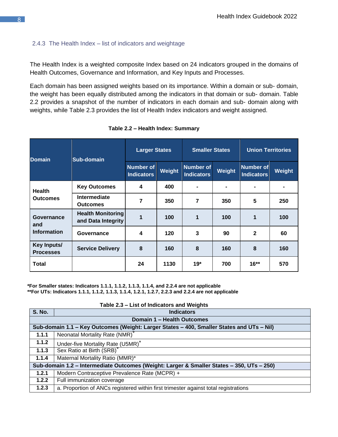#### 2.4.3 The Health Index – list of indicators and weightage

The Health Index is a weighted composite Index based on 24 indicators grouped in the domains of Health Outcomes, Governance and Information, and Key Inputs and Processes.

Each domain has been assigned weights based on its importance. Within a domain or sub- domain, the weight has been equally distributed among the indicators in that domain or sub- domain. Table 2.2 provides a snapshot of the number of indicators in each domain and sub- domain along with weights, while Table 2.3 provides the list of Health Index indicators and weight assigned.

| <b>Domain</b>                           | <b>Sub-domain</b>                              | <b>Larger States</b>                  |        | <b>Smaller States</b>                 |        | <b>Union Territories</b>              |                |
|-----------------------------------------|------------------------------------------------|---------------------------------------|--------|---------------------------------------|--------|---------------------------------------|----------------|
|                                         |                                                | <b>Number of</b><br><b>Indicators</b> | Weight | <b>Number of</b><br><b>Indicators</b> | Weight | <b>Number of</b><br><b>Indicators</b> | Weight         |
| <b>Health</b>                           | <b>Key Outcomes</b>                            | 4                                     | 400    |                                       |        | $\blacksquare$                        | $\blacksquare$ |
| <b>Outcomes</b>                         | <b>Intermediate</b><br><b>Outcomes</b>         | 7                                     | 350    | 7                                     | 350    | $5\phantom{.0}$                       | 250            |
| Governance<br>and<br><b>Information</b> | <b>Health Monitoring</b><br>and Data Integrity | 1                                     | 100    | 1                                     | 100    | 1                                     | 100            |
|                                         | Governance                                     | 4                                     | 120    | 3                                     | 90     | $\mathbf{2}$                          | 60             |
| Key Inputs/<br><b>Processes</b>         | <b>Service Delivery</b>                        | 8                                     | 160    | 8                                     | 160    | 8                                     | 160            |
| <b>Total</b>                            |                                                | 24                                    | 1130   | $19*$                                 | 700    | $16**$                                | 570            |

**Table 2.2 – Health Index: Summary**

**\*For Smaller states: Indicators 1.1.1, 1.1.2, 1.1.3, 1.1.4, and 2.2.4 are not applicable \*\*For UTs: Indicators 1.1.1, 1.1.2, 1.1.3, 1.1.4, 1.2.1, 1.2.7, 2.2.3 and 2.2.4 are not applicable**

| <b>S. No.</b>                                                                             | <b>Indicators</b>                                                                         |  |  |  |
|-------------------------------------------------------------------------------------------|-------------------------------------------------------------------------------------------|--|--|--|
| Domain 1 - Health Outcomes                                                                |                                                                                           |  |  |  |
| Sub-domain 1.1 - Key Outcomes (Weight: Larger States - 400, Smaller States and UTs - Nil) |                                                                                           |  |  |  |
| 1.1.1                                                                                     | Neonatal Mortality Rate (NMR)                                                             |  |  |  |
| 1.1.2                                                                                     | Under-five Mortality Rate (U5MR) <sup>*</sup>                                             |  |  |  |
| 1.1.3                                                                                     | Sex Ratio at Birth (SRB)                                                                  |  |  |  |
| 1.1.4                                                                                     | Maternal Mortality Ratio (MMR)*                                                           |  |  |  |
|                                                                                           | Sub-domain 1.2 - Intermediate Outcomes (Weight: Larger & Smaller States - 350, UTs - 250) |  |  |  |
| 1.2.1                                                                                     | Modern Contraceptive Prevalence Rate (MCPR) +                                             |  |  |  |
| 1.2.2                                                                                     | Full immunization coverage                                                                |  |  |  |
| 1.2.3                                                                                     | a. Proportion of ANCs registered within first trimester against total registrations       |  |  |  |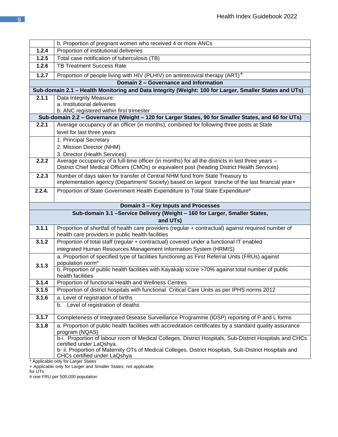|        | b. Proportion of pregnant women who received 4 or more ANCs                                                                                              |  |  |  |  |
|--------|----------------------------------------------------------------------------------------------------------------------------------------------------------|--|--|--|--|
| 1.2.4  | Proportion of institutional deliveries                                                                                                                   |  |  |  |  |
| 1.2.5  | Total case notification of tuberculosis (TB)                                                                                                             |  |  |  |  |
| 1.2.6  | <b>TB Treatment Success Rate</b>                                                                                                                         |  |  |  |  |
| 1.2.7  | Proportion of people living with HIV (PLHIV) on antiretroviral therapy (ART) <sup>+</sup>                                                                |  |  |  |  |
|        | Domain 2 - Governance and Information                                                                                                                    |  |  |  |  |
|        | Sub-domain 2.1 - Health Monitoring and Data Integrity (Weight: 100 for Larger, Smaller States and UTs)                                                   |  |  |  |  |
| 2.1.1  | Data Integrity Measure:                                                                                                                                  |  |  |  |  |
|        | a. Institutional deliveries<br>b. ANC registered within first trimester                                                                                  |  |  |  |  |
|        | Sub-domain 2.2 - Governance (Weight - 120 for Larger States, 90 for Smaller States, and 60 for UTs)                                                      |  |  |  |  |
| 2.2.1  | Average occupancy of an officer (in months), combined for following three posts at State                                                                 |  |  |  |  |
|        | level for last three years                                                                                                                               |  |  |  |  |
|        | 1. Principal Secretary                                                                                                                                   |  |  |  |  |
|        | 2. Mission Director (NHM)                                                                                                                                |  |  |  |  |
|        | 3. Director (Health Services)                                                                                                                            |  |  |  |  |
| 2.2.2  | Average occupancy of a full-time officer (in months) for all the districts in last three years -                                                         |  |  |  |  |
|        | District Chief Medical Officers (CMOs) or equivalent post (heading District Health Services)                                                             |  |  |  |  |
| 2.2.3  | Number of days taken for transfer of Central NHM fund from State Treasury to                                                                             |  |  |  |  |
|        | implementation agency (Department/ Society) based on largest tranche of the last financial year+                                                         |  |  |  |  |
| 2.2.4. | Proportion of State Government Health Expenditure to Total State Expenditure*                                                                            |  |  |  |  |
|        |                                                                                                                                                          |  |  |  |  |
|        |                                                                                                                                                          |  |  |  |  |
|        | Domain 3 - Key Inputs and Processes                                                                                                                      |  |  |  |  |
|        | Sub-domain 3.1 -Service Delivery (Weight - 160 for Larger, Smaller States,                                                                               |  |  |  |  |
|        | and UTs)                                                                                                                                                 |  |  |  |  |
| 3.1.1  | Proportion of shortfall of health care providers (regular + contractual) against required number of<br>health care providers in public health facilities |  |  |  |  |
| 3.1.2  | Proportion of total staff (regular + contractual) covered under a functional IT enabled                                                                  |  |  |  |  |
|        | integrated Human Resources Management Information System (HRMIS)                                                                                         |  |  |  |  |
|        | a. Proportion of specified type of facilities functioning as First Referral Units (FRUs) against                                                         |  |  |  |  |
| 3.1.3  | population norm <sup>#</sup>                                                                                                                             |  |  |  |  |
|        | b. Proportion of public health facilities with Kayakalp score >70% against total number of public                                                        |  |  |  |  |
| 3.1.4  | health facilities                                                                                                                                        |  |  |  |  |
| 3.1.5  | Proportion of functional Health and Wellness Centres<br>Proportion of district hospitals with functional Critical Care Units as per IPHS norms 2012      |  |  |  |  |
| 3.1.6  | a. Level of registration of births                                                                                                                       |  |  |  |  |
|        | b. Level of registration of deaths                                                                                                                       |  |  |  |  |
|        |                                                                                                                                                          |  |  |  |  |
| 3.1.7  | Completeness of Integrated Disease Surveillance Programme (IDSP) reporting of P and L forms                                                              |  |  |  |  |
| 3.1.8  | a. Proportion of public health facilities with accreditation certificates by a standard quality assurance                                                |  |  |  |  |
|        | program (NQAS)<br>b-i. Proportion of labour room of Medical Colleges, District Hospitals, Sub-District Hospitals and CHCs                                |  |  |  |  |
|        | certified under LaQshya.                                                                                                                                 |  |  |  |  |
|        | b- ii. Proportion of Maternity OTs of Medical Colleges, District Hospitals, Sub-District Hospitals and<br>CHCs certified under LaQshya                   |  |  |  |  |

+ Applicable only for Larger and Smaller States; not applicable

for UTs

# one FRU per 500,000 population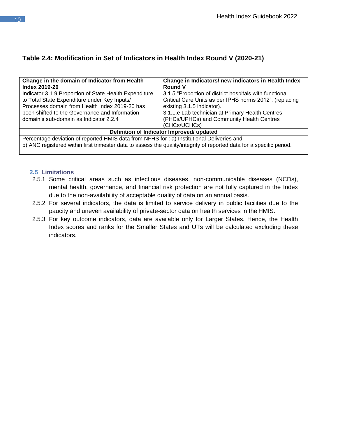## **Table 2.4: Modification in Set of Indicators in Health Index Round V (2020-21)**

| Change in the domain of Indicator from Health<br><b>Index 2019-20</b>                      | Change in Indicators/ new indicators in Health Index<br><b>Round V</b>                                                |  |  |  |  |
|--------------------------------------------------------------------------------------------|-----------------------------------------------------------------------------------------------------------------------|--|--|--|--|
| Indicator 3.1.9 Proportion of State Health Expenditure                                     | 3.1.5 "Proportion of district hospitals with functional                                                               |  |  |  |  |
| to Total State Expenditure under Key Inputs/                                               | Critical Care Units as per IPHS norms 2012". (replacing                                                               |  |  |  |  |
| Processes domain from Health Index 2019-20 has                                             | existing 3.1.5 indicator).                                                                                            |  |  |  |  |
| been shifted to the Governance and Information                                             | 3.1.1.e Lab technician at Primary Health Centres                                                                      |  |  |  |  |
| domain's sub-domain as Indicator 2.2.4                                                     | (PHCs/UPHCs) and Community Health Centres                                                                             |  |  |  |  |
|                                                                                            | (CHCs/UCHCs)                                                                                                          |  |  |  |  |
| Definition of Indicator Improved/ updated                                                  |                                                                                                                       |  |  |  |  |
| Percentage deviation of reported HMIS data from NFHS for : a) Institutional Deliveries and |                                                                                                                       |  |  |  |  |
|                                                                                            | b) ANC registered within first trimester data to assess the quality/integrity of reported data for a specific period. |  |  |  |  |

#### **2.5 Limitations**

- 2.5.1 Some critical areas such as infectious diseases, non-communicable diseases (NCDs), mental health, governance, and financial risk protection are not fully captured in the Index due to the non-availability of acceptable quality of data on an annual basis.
- 2.5.2 For several indicators, the data is limited to service delivery in public facilities due to the paucity and uneven availability of private-sector data on health services in the HMIS.
- 2.5.3 For key outcome indicators, data are available only for Larger States. Hence, the Health Index scores and ranks for the Smaller States and UTs will be calculated excluding these indicators.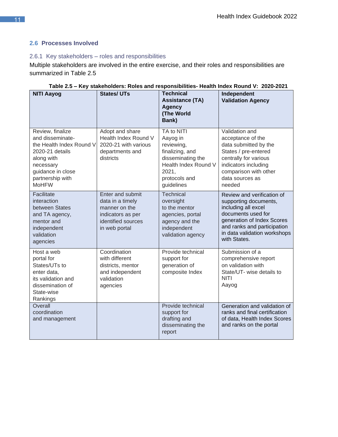## **2.6 Processes Involved**

## 2.6.1 Key stakeholders – roles and responsibilities

Multiple stakeholders are involved in the entire exercise, and their roles and responsibilities are summarized in Table 2.5

| <b>NITI Aayog</b>                                                                                                                                                       | <b>States/UTs</b>                                                                                                 | <b>Technical</b><br><b>Assistance (TA)</b><br><b>Agency</b><br>(The World<br>Bank)                                                           | Independent<br><b>Validation Agency</b>                                                                                                                                                                       |
|-------------------------------------------------------------------------------------------------------------------------------------------------------------------------|-------------------------------------------------------------------------------------------------------------------|----------------------------------------------------------------------------------------------------------------------------------------------|---------------------------------------------------------------------------------------------------------------------------------------------------------------------------------------------------------------|
| Review, finalize<br>and disseminate-<br>the Health Index Round V<br>2020-21 details<br>along with<br>necessary<br>guidance in close<br>partnership with<br><b>MoHFW</b> | Adopt and share<br>Health Index Round V<br>2020-21 with various<br>departments and<br>districts                   | TA to NITI<br>Aayog in<br>reviewing,<br>finalizing, and<br>disseminating the<br>Health Index Round V<br>2021,<br>protocols and<br>guidelines | Validation and<br>acceptance of the<br>data submitted by the<br>States / pre-entered<br>centrally for various<br>indicators including<br>comparison with other<br>data sources as<br>needed                   |
| Facilitate<br>interaction<br>between States<br>and TA agency,<br>mentor and<br>independent<br>validation<br>agencies                                                    | Enter and submit<br>data in a timely<br>manner on the<br>indicators as per<br>identified sources<br>in web portal | <b>Technical</b><br>oversight<br>to the mentor<br>agencies, portal<br>agency and the<br>independent<br>validation agency                     | Review and verification of<br>supporting documents,<br>including all excel<br>documents used for<br>generation of Index Scores<br>and ranks and participation<br>in data validation workshops<br>with States. |
| Host a web<br>portal for<br>States/UTs to<br>enter data,<br>its validation and<br>dissemination of<br>State-wise<br>Rankings                                            | Coordination<br>with different<br>districts, mentor<br>and independent<br>validation<br>agencies                  | Provide technical<br>support for<br>generation of<br>composite Index                                                                         | Submission of a<br>comprehensive report<br>on validation with<br>State/UT- wise details to<br><b>NITI</b><br>Aayog                                                                                            |
| Overall<br>coordination<br>and management                                                                                                                               |                                                                                                                   | Provide technical<br>support for<br>drafting and<br>disseminating the<br>report                                                              | Generation and validation of<br>ranks and final certification<br>of data, Health Index Scores<br>and ranks on the portal                                                                                      |

| Table 2.5 – Key stakeholders: Roles and responsibilities- Health Index Round V: 2020-2021 |  |  |  |
|-------------------------------------------------------------------------------------------|--|--|--|
|                                                                                           |  |  |  |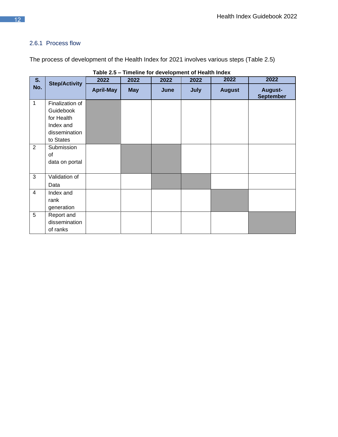## 2.6.1 Process flow

The process of development of the Health Index for 2021 involves various steps (Table 2.5)

| S.             |                      | 2022             | 2022       | 2022 | 2022        | 2022          | 2022                        |
|----------------|----------------------|------------------|------------|------|-------------|---------------|-----------------------------|
| No.            | <b>Step/Activity</b> | <b>April-May</b> | <b>May</b> | June | <b>July</b> | <b>August</b> | August-<br><b>September</b> |
| $\mathbf{1}$   | Finalization of      |                  |            |      |             |               |                             |
|                | Guidebook            |                  |            |      |             |               |                             |
|                | for Health           |                  |            |      |             |               |                             |
|                | Index and            |                  |            |      |             |               |                             |
|                | dissemination        |                  |            |      |             |               |                             |
|                | to States            |                  |            |      |             |               |                             |
| 2              | Submission           |                  |            |      |             |               |                             |
|                | of                   |                  |            |      |             |               |                             |
|                | data on portal       |                  |            |      |             |               |                             |
| 3              | Validation of        |                  |            |      |             |               |                             |
|                | Data                 |                  |            |      |             |               |                             |
| $\overline{4}$ | Index and            |                  |            |      |             |               |                             |
|                | rank                 |                  |            |      |             |               |                             |
|                | generation           |                  |            |      |             |               |                             |
| $\overline{5}$ | Report and           |                  |            |      |             |               |                             |
|                | dissemination        |                  |            |      |             |               |                             |
|                | of ranks             |                  |            |      |             |               |                             |

**Table 2.5 – Timeline for development of Health Index**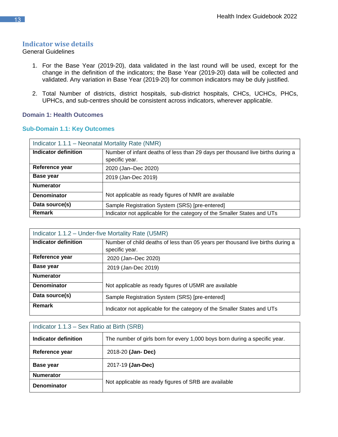## **Indicator wise details**

#### General Guidelines

- 1. For the Base Year (2019-20), data validated in the last round will be used, except for the change in the definition of the indicators; the Base Year (2019-20) data will be collected and validated. Any variation in Base Year (2019-20) for common indicators may be duly justified.
- <span id="page-12-0"></span>2. Total Number of districts, district hospitals, sub-district hospitals, CHCs, UCHCs, PHCs, UPHCs, and sub-centres should be consistent across indicators, wherever applicable.

#### **Domain 1: Health Outcomes**

#### **Sub-Domain 1.1: Key Outcomes**

<span id="page-12-2"></span><span id="page-12-1"></span>

| Indicator 1.1.1 - Neonatal Mortality Rate (NMR) |                                                                                |  |
|-------------------------------------------------|--------------------------------------------------------------------------------|--|
| Indicator definition                            | Number of infant deaths of less than 29 days per thousand live births during a |  |
|                                                 | specific year.                                                                 |  |
| Reference year                                  | 2020 (Jan-Dec 2020)                                                            |  |
| Base year                                       | 2019 (Jan-Dec 2019)                                                            |  |
| <b>Numerator</b>                                |                                                                                |  |
| <b>Denominator</b>                              | Not applicable as ready figures of NMR are available                           |  |
| Data source(s)                                  | Sample Registration System (SRS) [pre-entered]                                 |  |
| <b>Remark</b>                                   | Indicator not applicable for the category of the Smaller States and UTs        |  |

<span id="page-12-3"></span>

| Indicator 1.1.2 – Under-five Mortality Rate (U5MR) |                                                                                |  |
|----------------------------------------------------|--------------------------------------------------------------------------------|--|
| Indicator definition                               | Number of child deaths of less than 05 years per thousand live births during a |  |
|                                                    | specific year.                                                                 |  |
| Reference year                                     | 2020 (Jan-Dec 2020)                                                            |  |
| Base year                                          | 2019 (Jan-Dec 2019)                                                            |  |
| <b>Numerator</b>                                   |                                                                                |  |
| Denominator                                        | Not applicable as ready figures of U5MR are available                          |  |
| Data source(s)                                     | Sample Registration System (SRS) [pre-entered]                                 |  |
| <b>Remark</b>                                      | Indicator not applicable for the category of the Smaller States and UTs        |  |

<span id="page-12-4"></span>

| Indicator 1.1.3 – Sex Ratio at Birth (SRB) |                                                                            |  |
|--------------------------------------------|----------------------------------------------------------------------------|--|
| Indicator definition                       | The number of girls born for every 1,000 boys born during a specific year. |  |
| Reference year                             | 2018-20 (Jan- Dec)                                                         |  |
| Base year                                  | 2017-19 (Jan-Dec)                                                          |  |
| <b>Numerator</b>                           |                                                                            |  |
| <b>Denominator</b>                         | Not applicable as ready figures of SRB are available                       |  |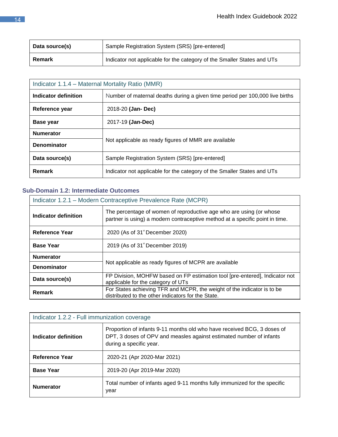| Data source(s) | Sample Registration System (SRS) [pre-entered]                          |
|----------------|-------------------------------------------------------------------------|
| Remark         | Indicator not applicable for the category of the Smaller States and UTs |

| Indicator 1.1.4 – Maternal Mortality Ratio (MMR) |                                                                              |  |
|--------------------------------------------------|------------------------------------------------------------------------------|--|
| Indicator definition                             | Number of maternal deaths during a given time period per 100,000 live births |  |
| Reference year                                   | 2018-20 (Jan- Dec)                                                           |  |
| <b>Base year</b>                                 | 2017-19 (Jan-Dec)                                                            |  |
| <b>Numerator</b>                                 |                                                                              |  |
| <b>Denominator</b>                               | Not applicable as ready figures of MMR are available                         |  |
| Data source(s)                                   | Sample Registration System (SRS) [pre-entered]                               |  |
| <b>Remark</b>                                    | Indicator not applicable for the category of the Smaller States and UTs      |  |

## **Sub-Domain 1.2: Intermediate Outcomes**

<span id="page-13-0"></span>

| Indicator 1.2.1 – Modern Contraceptive Prevalence Rate (MCPR) |                                                                                                                                                     |  |
|---------------------------------------------------------------|-----------------------------------------------------------------------------------------------------------------------------------------------------|--|
| Indicator definition                                          | The percentage of women of reproductive age who are using (or whose<br>partner is using) a modern contraceptive method at a specific point in time. |  |
| <b>Reference Year</b>                                         | 2020 (As of 31 <sup>*</sup> December 2020)                                                                                                          |  |
| <b>Base Year</b>                                              | 2019 (As of 31 <sup>*</sup> December 2019)                                                                                                          |  |
| <b>Numerator</b>                                              |                                                                                                                                                     |  |
| <b>Denominator</b>                                            | Not applicable as ready figures of MCPR are available                                                                                               |  |
| Data source(s)                                                | FP Division, MOHFW based on FP estimation tool [pre-entered], Indicator not<br>applicable for the category of UTs                                   |  |
| <b>Remark</b>                                                 | For States achieving TFR and MCPR, the weight of the indicator is to be<br>distributed to the other indicators for the State.                       |  |

<span id="page-13-1"></span>

| Indicator 1.2.2 - Full immunization coverage |                                                                                                                                                                           |  |
|----------------------------------------------|---------------------------------------------------------------------------------------------------------------------------------------------------------------------------|--|
| Indicator definition                         | Proportion of infants 9-11 months old who have received BCG, 3 doses of<br>DPT, 3 doses of OPV and measles against estimated number of infants<br>during a specific year. |  |
| Reference Year                               | 2020-21 (Apr 2020-Mar 2021)                                                                                                                                               |  |
| <b>Base Year</b>                             | 2019-20 (Apr 2019-Mar 2020)                                                                                                                                               |  |
| <b>Numerator</b>                             | Total number of infants aged 9-11 months fully immunized for the specific<br>year                                                                                         |  |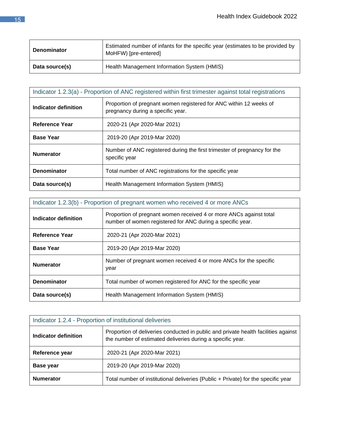| <b>Denominator</b> | Estimated number of infants for the specific year (estimates to be provided by<br>MoHFW) [pre-entered] |
|--------------------|--------------------------------------------------------------------------------------------------------|
| Data source(s)     | Health Management Information System (HMIS)                                                            |

<span id="page-14-0"></span>

| Indicator 1.2.3(a) - Proportion of ANC registered within first trimester against total registrations |                                                                                                         |  |
|------------------------------------------------------------------------------------------------------|---------------------------------------------------------------------------------------------------------|--|
| Indicator definition                                                                                 | Proportion of pregnant women registered for ANC within 12 weeks of<br>pregnancy during a specific year. |  |
| Reference Year                                                                                       | 2020-21 (Apr 2020-Mar 2021)                                                                             |  |
| <b>Base Year</b>                                                                                     | 2019-20 (Apr 2019-Mar 2020)                                                                             |  |
| <b>Numerator</b>                                                                                     | Number of ANC registered during the first trimester of pregnancy for the<br>specific year               |  |
| <b>Denominator</b>                                                                                   | Total number of ANC registrations for the specific year                                                 |  |
| Data source(s)                                                                                       | Health Management Information System (HMIS)                                                             |  |

| Indicator 1.2.3(b) - Proportion of pregnant women who received 4 or more ANCs |                                                                                                                                  |  |
|-------------------------------------------------------------------------------|----------------------------------------------------------------------------------------------------------------------------------|--|
| Indicator definition                                                          | Proportion of pregnant women received 4 or more ANCs against total<br>number of women registered for ANC during a specific year. |  |
| <b>Reference Year</b>                                                         | 2020-21 (Apr 2020-Mar 2021)                                                                                                      |  |
| <b>Base Year</b>                                                              | 2019-20 (Apr 2019-Mar 2020)                                                                                                      |  |
| <b>Numerator</b>                                                              | Number of pregnant women received 4 or more ANCs for the specific<br>year                                                        |  |
| <b>Denominator</b>                                                            | Total number of women registered for ANC for the specific year                                                                   |  |
| Data source(s)                                                                | Health Management Information System (HMIS)                                                                                      |  |

<span id="page-14-1"></span>

| Indicator 1.2.4 - Proportion of institutional deliveries |                                                                                                                                                  |  |
|----------------------------------------------------------|--------------------------------------------------------------------------------------------------------------------------------------------------|--|
| Indicator definition                                     | Proportion of deliveries conducted in public and private health facilities against<br>the number of estimated deliveries during a specific year. |  |
| Reference year                                           | 2020-21 (Apr 2020-Mar 2021)                                                                                                                      |  |
| <b>Base year</b>                                         | 2019-20 (Apr 2019-Mar 2020)                                                                                                                      |  |
| <b>Numerator</b>                                         | Total number of institutional deliveries {Public + Private} for the specific year                                                                |  |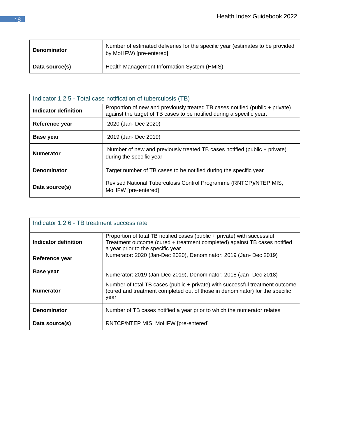| <b>Denominator</b> | Number of estimated deliveries for the specific year (estimates to be provided<br>by MoHFW) [pre-entered] |
|--------------------|-----------------------------------------------------------------------------------------------------------|
| Data source(s)     | Health Management Information System (HMIS)                                                               |

<span id="page-15-0"></span>

| Indicator 1.2.5 - Total case notification of tuberculosis (TB) |                                                                                                                                                        |
|----------------------------------------------------------------|--------------------------------------------------------------------------------------------------------------------------------------------------------|
| Indicator definition                                           | Proportion of new and previously treated TB cases notified (public + private)<br>against the target of TB cases to be notified during a specific year. |
| Reference year                                                 | 2020 (Jan- Dec 2020)                                                                                                                                   |
| <b>Base year</b>                                               | 2019 (Jan-Dec 2019)                                                                                                                                    |
| <b>Numerator</b>                                               | Number of new and previously treated TB cases notified (public + private)<br>during the specific year                                                  |
| <b>Denominator</b>                                             | Target number of TB cases to be notified during the specific year                                                                                      |
| Data source(s)                                                 | Revised National Tuberculosis Control Programme (RNTCP)/NTEP MIS,<br>MoHFW [pre-entered]                                                               |

| Indicator 1.2.6 - TB treatment success rate |                                                                                                                                                                                             |
|---------------------------------------------|---------------------------------------------------------------------------------------------------------------------------------------------------------------------------------------------|
| Indicator definition                        | Proportion of total TB notified cases (public + private) with successful<br>Treatment outcome (cured + treatment completed) against TB cases notified<br>a year prior to the specific year. |
| Reference year                              | Numerator: 2020 (Jan-Dec 2020), Denominator: 2019 (Jan- Dec 2019)                                                                                                                           |
| <b>Base year</b>                            | Numerator: 2019 (Jan-Dec 2019), Denominator: 2018 (Jan-Dec 2018)                                                                                                                            |
| <b>Numerator</b>                            | Number of total TB cases (public + private) with successful treatment outcome<br>(cured and treatment completed out of those in denominator) for the specific<br>year                       |
| <b>Denominator</b>                          | Number of TB cases notified a year prior to which the numerator relates                                                                                                                     |
| Data source(s)                              | RNTCP/NTEP MIS, MoHFW [pre-entered]                                                                                                                                                         |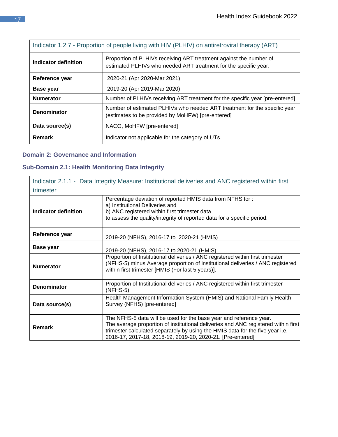<span id="page-16-0"></span>

| Indicator 1.2.7 - Proportion of people living with HIV (PLHIV) on antiretroviral therapy (ART) |                                                                                                                                        |
|------------------------------------------------------------------------------------------------|----------------------------------------------------------------------------------------------------------------------------------------|
| Indicator definition                                                                           | Proportion of PLHIVs receiving ART treatment against the number of<br>estimated PLHIVs who needed ART treatment for the specific year. |
| Reference year                                                                                 | 2020-21 (Apr 2020-Mar 2021)                                                                                                            |
| <b>Base year</b>                                                                               | 2019-20 (Apr 2019-Mar 2020)                                                                                                            |
| <b>Numerator</b>                                                                               | Number of PLHIVs receiving ART treatment for the specific year [pre-entered]                                                           |
| <b>Denominator</b>                                                                             | Number of estimated PLHIVs who needed ART treatment for the specific year<br>(estimates to be provided by MoHFW) [pre-entered]         |
| Data source(s)                                                                                 | NACO, MoHFW [pre-entered]                                                                                                              |
| Remark                                                                                         | Indicator not applicable for the category of UTs.                                                                                      |

## **Domain 2: Governance and Information**

## **Sub-Domain 2.1: Health Monitoring Data Integrity**

<span id="page-16-2"></span><span id="page-16-1"></span>

| Indicator 2.1.1 - Data Integrity Measure: Institutional deliveries and ANC registered within first |                                                                                                                                                                                                                                                                                                         |  |
|----------------------------------------------------------------------------------------------------|---------------------------------------------------------------------------------------------------------------------------------------------------------------------------------------------------------------------------------------------------------------------------------------------------------|--|
| trimester                                                                                          |                                                                                                                                                                                                                                                                                                         |  |
| <b>Indicator definition</b>                                                                        | Percentage deviation of reported HMIS data from NFHS for:<br>a) Institutional Deliveries and<br>b) ANC registered within first trimester data<br>to assess the quality/integrity of reported data for a specific period.                                                                                |  |
| Reference year                                                                                     | 2019-20 (NFHS), 2016-17 to 2020-21 (HMIS)                                                                                                                                                                                                                                                               |  |
| <b>Base year</b>                                                                                   | 2019-20 (NFHS), 2016-17 to 2020-21 (HMIS)                                                                                                                                                                                                                                                               |  |
| <b>Numerator</b>                                                                                   | Proportion of Institutional deliveries / ANC registered within first trimester<br>(NFHS-5) minus Average proportion of institutional deliveries / ANC registered<br>within first trimester [HMIS (For last 5 years)].                                                                                   |  |
| <b>Denominator</b>                                                                                 | Proportion of Institutional deliveries / ANC registered within first trimester<br>$(NFHS-5)$                                                                                                                                                                                                            |  |
| Data source(s)                                                                                     | Health Management Information System (HMIS) and National Family Health<br>Survey (NFHS) [pre-entered]                                                                                                                                                                                                   |  |
| <b>Remark</b>                                                                                      | The NFHS-5 data will be used for the base year and reference year.<br>The average proportion of institutional deliveries and ANC registered within first<br>trimester calculated separately by using the HMIS data for the five year i.e.<br>2016-17, 2017-18, 2018-19, 2019-20, 2020-21. [Pre-entered] |  |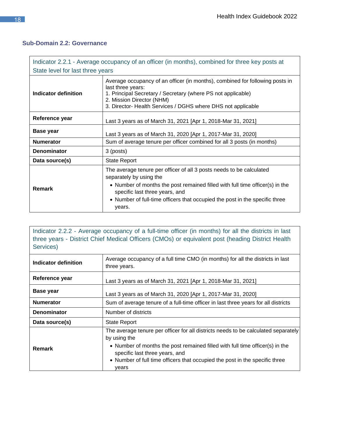## **Sub-Domain 2.2: Governance**

<span id="page-17-0"></span>

| Indicator 2.2.1 - Average occupancy of an officer (in months), combined for three key posts at |                                                                                                                                                                                                                                                                                                            |
|------------------------------------------------------------------------------------------------|------------------------------------------------------------------------------------------------------------------------------------------------------------------------------------------------------------------------------------------------------------------------------------------------------------|
| State level for last three years                                                               |                                                                                                                                                                                                                                                                                                            |
| Indicator definition                                                                           | Average occupancy of an officer (in months), combined for following posts in<br>last three years:<br>1. Principal Secretary / Secretary (where PS not applicable)<br>2. Mission Director (NHM)<br>3. Director- Health Services / DGHS where DHS not applicable                                             |
| Reference year                                                                                 | Last 3 years as of March 31, 2021 [Apr 1, 2018-Mar 31, 2021]                                                                                                                                                                                                                                               |
| <b>Base year</b>                                                                               | Last 3 years as of March 31, 2020 [Apr 1, 2017-Mar 31, 2020]                                                                                                                                                                                                                                               |
| <b>Numerator</b>                                                                               | Sum of average tenure per officer combined for all 3 posts (in months)                                                                                                                                                                                                                                     |
| <b>Denominator</b>                                                                             | 3 (posts)                                                                                                                                                                                                                                                                                                  |
| Data source(s)                                                                                 | <b>State Report</b>                                                                                                                                                                                                                                                                                        |
| <b>Remark</b>                                                                                  | The average tenure per officer of all 3 posts needs to be calculated<br>separately by using the<br>• Number of months the post remained filled with full time officer(s) in the<br>specific last three years, and<br>• Number of full-time officers that occupied the post in the specific three<br>years. |

Indicator 2.2.2 - Average occupancy of a full-time officer (in months) for all the districts in last three years - District Chief Medical Officers (CMOs) or equivalent post (heading District Health Services)

<span id="page-17-1"></span>

| Indicator definition | Average occupancy of a full time CMO (in months) for all the districts in last<br>three years.                                                                                                                                                                                                               |
|----------------------|--------------------------------------------------------------------------------------------------------------------------------------------------------------------------------------------------------------------------------------------------------------------------------------------------------------|
| Reference year       | Last 3 years as of March 31, 2021 [Apr 1, 2018-Mar 31, 2021]                                                                                                                                                                                                                                                 |
| <b>Base year</b>     | Last 3 years as of March 31, 2020 [Apr 1, 2017-Mar 31, 2020]                                                                                                                                                                                                                                                 |
| <b>Numerator</b>     | Sum of average tenure of a full-time officer in last three years for all districts                                                                                                                                                                                                                           |
| <b>Denominator</b>   | Number of districts                                                                                                                                                                                                                                                                                          |
| Data source(s)       | <b>State Report</b>                                                                                                                                                                                                                                                                                          |
| Remark               | The average tenure per officer for all districts needs to be calculated separately<br>by using the<br>• Number of months the post remained filled with full time officer(s) in the<br>specific last three years, and<br>• Number of full time officers that occupied the post in the specific three<br>years |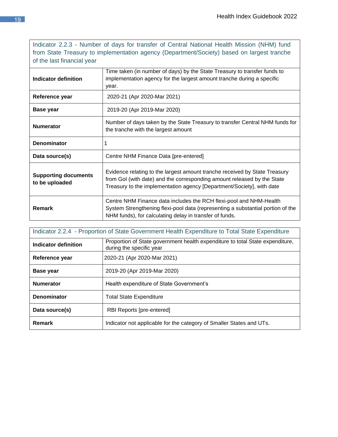Indicator 2.2.3 - Number of days for transfer of Central National Health Mission (NHM) fund from State Treasury to implementation agency (Department/Society) based on largest tranche of the last financial year

| Indicator definition                          | Time taken (in number of days) by the State Treasury to transfer funds to<br>implementation agency for the largest amount tranche during a specific<br>year.                                                                   |
|-----------------------------------------------|--------------------------------------------------------------------------------------------------------------------------------------------------------------------------------------------------------------------------------|
| Reference year                                | 2020-21 (Apr 2020-Mar 2021)                                                                                                                                                                                                    |
| <b>Base year</b>                              | 2019-20 (Apr 2019-Mar 2020)                                                                                                                                                                                                    |
| <b>Numerator</b>                              | Number of days taken by the State Treasury to transfer Central NHM funds for<br>the tranche with the largest amount                                                                                                            |
| <b>Denominator</b>                            |                                                                                                                                                                                                                                |
| Data source(s)                                | Centre NHM Finance Data [pre-entered]                                                                                                                                                                                          |
| <b>Supporting documents</b><br>to be uploaded | Evidence relating to the largest amount tranche received by State Treasury<br>from Gol (with date) and the corresponding amount released by the State<br>Treasury to the implementation agency [Department/Society], with date |
| Remark                                        | Centre NHM Finance data includes the RCH flexi-pool and NHM-Health<br>System Strengthening flexi-pool data (representing a substantial portion of the<br>NHM funds), for calculating delay in transfer of funds.               |

| Indicator 2.2.4 - Proportion of State Government Health Expenditure to Total State Expenditure |                                                                                                           |
|------------------------------------------------------------------------------------------------|-----------------------------------------------------------------------------------------------------------|
| Indicator definition                                                                           | Proportion of State government health expenditure to total State expenditure,<br>during the specific year |
| Reference year                                                                                 | 2020-21 (Apr 2020-Mar 2021)                                                                               |
| <b>Base year</b>                                                                               | 2019-20 (Apr 2019-Mar 2020)                                                                               |
| <b>Numerator</b>                                                                               | Health expenditure of State Government's                                                                  |
| <b>Denominator</b>                                                                             | <b>Total State Expenditure</b>                                                                            |
| Data source(s)                                                                                 | RBI Reports [pre-entered]                                                                                 |
| Remark                                                                                         | Indicator not applicable for the category of Smaller States and UTs.                                      |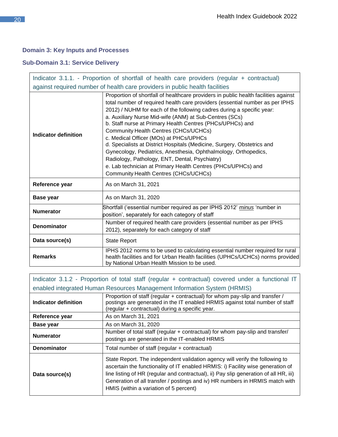## **Domain 3: Key Inputs and Processes**

## **Sub-Domain 3.1: Service Delivery**

<span id="page-19-1"></span><span id="page-19-0"></span>

| Indicator 3.1.1. - Proportion of shortfall of health care providers (regular + contractual) |                                                                                                                                                                                                                                                                                                                                                                                                                                                                                                                                                                                                                                                                                                                                                                 |
|---------------------------------------------------------------------------------------------|-----------------------------------------------------------------------------------------------------------------------------------------------------------------------------------------------------------------------------------------------------------------------------------------------------------------------------------------------------------------------------------------------------------------------------------------------------------------------------------------------------------------------------------------------------------------------------------------------------------------------------------------------------------------------------------------------------------------------------------------------------------------|
| against required number of health care providers in public health facilities                |                                                                                                                                                                                                                                                                                                                                                                                                                                                                                                                                                                                                                                                                                                                                                                 |
| Indicator definition                                                                        | Proportion of shortfall of healthcare providers in public health facilities against<br>total number of required health care providers (essential number as per IPHS<br>2012) / NUHM for each of the following cadres during a specific year:<br>a. Auxiliary Nurse Mid-wife (ANM) at Sub-Centres (SCs)<br>b. Staff nurse at Primary Health Centres (PHCs/UPHCs) and<br>Community Health Centres (CHCs/UCHCs)<br>c. Medical Officer (MOs) at PHCs/UPHCs<br>d. Specialists at District Hospitals (Medicine, Surgery, Obstetrics and<br>Gynecology, Pediatrics, Anesthesia, Ophthalmology, Orthopedics,<br>Radiology, Pathology, ENT, Dental, Psychiatry)<br>e. Lab technician at Primary Health Centres (PHCs/UPHCs) and<br>Community Health Centres (CHCs/UCHCs) |
| Reference year                                                                              | As on March 31, 2021                                                                                                                                                                                                                                                                                                                                                                                                                                                                                                                                                                                                                                                                                                                                            |
| <b>Base year</b>                                                                            | As on March 31, 2020                                                                                                                                                                                                                                                                                                                                                                                                                                                                                                                                                                                                                                                                                                                                            |
| <b>Numerator</b>                                                                            | Shortfall ('essential number required as per IPHS 2012' minus 'number in<br>position', separately for each category of staff                                                                                                                                                                                                                                                                                                                                                                                                                                                                                                                                                                                                                                    |
| <b>Denominator</b>                                                                          | Number of required health care providers (essential number as per IPHS<br>2012), separately for each category of staff                                                                                                                                                                                                                                                                                                                                                                                                                                                                                                                                                                                                                                          |
| Data source(s)                                                                              | <b>State Report</b>                                                                                                                                                                                                                                                                                                                                                                                                                                                                                                                                                                                                                                                                                                                                             |
| <b>Remarks</b>                                                                              | IPHS 2012 norms to be used to calculating essential number required for rural<br>health facilities and for Urban Health facilities (UPHCs/UCHCs) norms provided<br>by National Urban Health Mission to be used.                                                                                                                                                                                                                                                                                                                                                                                                                                                                                                                                                 |

<span id="page-19-2"></span>

| Indicator 3.1.2 - Proportion of total staff (regular + contractual) covered under a functional IT |                                                                                                                                                                                                                                                                                                                                                                                    |
|---------------------------------------------------------------------------------------------------|------------------------------------------------------------------------------------------------------------------------------------------------------------------------------------------------------------------------------------------------------------------------------------------------------------------------------------------------------------------------------------|
| enabled integrated Human Resources Management Information System (HRMIS)                          |                                                                                                                                                                                                                                                                                                                                                                                    |
| Indicator definition                                                                              | Proportion of staff (regular + contractual) for whom pay-slip and transfer /<br>postings are generated in the IT enabled HRMIS against total number of staff<br>(regular + contractual) during a specific year.                                                                                                                                                                    |
| Reference year                                                                                    | As on March 31, 2021                                                                                                                                                                                                                                                                                                                                                               |
| Base year                                                                                         | As on March 31, 2020                                                                                                                                                                                                                                                                                                                                                               |
| <b>Numerator</b>                                                                                  | Number of total staff (regular + contractual) for whom pay-slip and transfer/<br>postings are generated in the IT-enabled HRMIS                                                                                                                                                                                                                                                    |
| <b>Denominator</b>                                                                                | Total number of staff (regular + contractual)                                                                                                                                                                                                                                                                                                                                      |
| Data source(s)                                                                                    | State Report. The independent validation agency will verify the following to<br>ascertain the functionality of IT enabled HRMIS: i) Facility wise generation of<br>line listing of HR (regular and contractual), ii) Pay slip generation of all HR, iii)<br>Generation of all transfer / postings and iv) HR numbers in HRMIS match with<br>HMIS (within a variation of 5 percent) |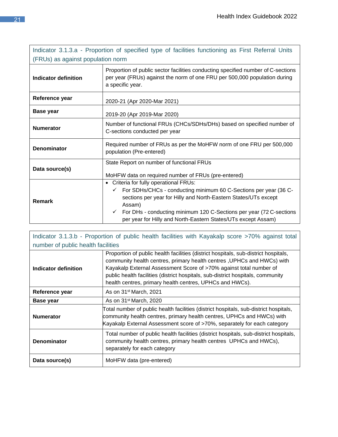<span id="page-20-0"></span>

| Indicator 3.1.3.a - Proportion of specified type of facilities functioning as First Referral Units<br>(FRUs) as against population norm |                                                                                                                                                                                                                                                                                                                                                                 |
|-----------------------------------------------------------------------------------------------------------------------------------------|-----------------------------------------------------------------------------------------------------------------------------------------------------------------------------------------------------------------------------------------------------------------------------------------------------------------------------------------------------------------|
| Indicator definition                                                                                                                    | Proportion of public sector facilities conducting specified number of C-sections<br>per year (FRUs) against the norm of one FRU per 500,000 population during<br>a specific year.                                                                                                                                                                               |
| Reference year                                                                                                                          | 2020-21 (Apr 2020-Mar 2021)                                                                                                                                                                                                                                                                                                                                     |
| <b>Base year</b>                                                                                                                        | 2019-20 (Apr 2019-Mar 2020)                                                                                                                                                                                                                                                                                                                                     |
| <b>Numerator</b>                                                                                                                        | Number of functional FRUs (CHCs/SDHs/DHs) based on specified number of<br>C-sections conducted per year                                                                                                                                                                                                                                                         |
| <b>Denominator</b>                                                                                                                      | Required number of FRUs as per the MoHFW norm of one FRU per 500,000<br>population (Pre-entered)                                                                                                                                                                                                                                                                |
| Data source(s)                                                                                                                          | State Report on number of functional FRUs<br>MoHFW data on required number of FRUs (pre-entered)                                                                                                                                                                                                                                                                |
| Remark                                                                                                                                  | • Criteria for fully operational FRUs:<br>For SDHs/CHCs - conducting minimum 60 C-Sections per year (36 C-<br>$\checkmark$<br>sections per year for Hilly and North-Eastern States/UTs except<br>Assam)<br>For DHs - conducting minimum 120 C-Sections per year (72 C-sections<br>$\checkmark$<br>per year for Hilly and North-Eastern States/UTs except Assam) |

| Indicator 3.1.3.b - Proportion of public health facilities with Kayakalp score >70% against total |                                                                                                                                                                                                                                                                                                                                                                                    |
|---------------------------------------------------------------------------------------------------|------------------------------------------------------------------------------------------------------------------------------------------------------------------------------------------------------------------------------------------------------------------------------------------------------------------------------------------------------------------------------------|
| number of public health facilities                                                                |                                                                                                                                                                                                                                                                                                                                                                                    |
| Indicator definition                                                                              | Proportion of public health facilities (district hospitals, sub-district hospitals,<br>community health centres, primary health centres, UPHCs and HWCs) with<br>Kayakalp External Assessment Score of >70% against total number of<br>public health facilities (district hospitals, sub-district hospitals, community<br>health centres, primary health centres, UPHCs and HWCs). |
| Reference year                                                                                    | As on 31 <sup>st</sup> March, 2021                                                                                                                                                                                                                                                                                                                                                 |
| Base year                                                                                         | As on 31 <sup>st</sup> March, 2020                                                                                                                                                                                                                                                                                                                                                 |
| <b>Numerator</b>                                                                                  | Total number of public health facilities (district hospitals, sub-district hospitals,<br>community health centres, primary health centres, UPHCs and HWCs) with<br>Kayakalp External Assessment score of >70%, separately for each category                                                                                                                                        |
| <b>Denominator</b>                                                                                | Total number of public health facilities (district hospitals, sub-district hospitals,<br>community health centres, primary health centres UPHCs and HWCs),<br>separately for each category                                                                                                                                                                                         |
| Data source(s)                                                                                    | MoHFW data (pre-entered)                                                                                                                                                                                                                                                                                                                                                           |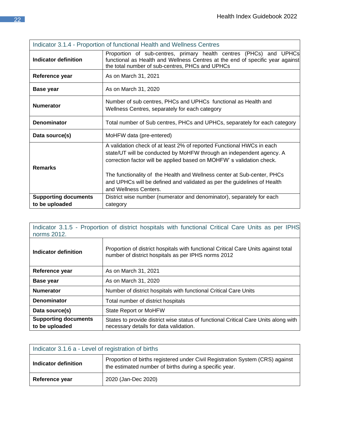<span id="page-21-0"></span>

| Indicator 3.1.4 - Proportion of functional Health and Wellness Centres |                                                                                                                                                                                                                                                                                                                                                                                                      |
|------------------------------------------------------------------------|------------------------------------------------------------------------------------------------------------------------------------------------------------------------------------------------------------------------------------------------------------------------------------------------------------------------------------------------------------------------------------------------------|
| Indicator definition                                                   | Proportion of sub-centres, primary health centres (PHCs) and UPHCs<br>functional as Health and Wellness Centres at the end of specific year against<br>the total number of sub-centres, PHCs and UPHCs                                                                                                                                                                                               |
| Reference year                                                         | As on March 31, 2021                                                                                                                                                                                                                                                                                                                                                                                 |
| <b>Base year</b>                                                       | As on March 31, 2020                                                                                                                                                                                                                                                                                                                                                                                 |
| <b>Numerator</b>                                                       | Number of sub centres, PHCs and UPHCs functional as Health and<br>Wellness Centres, separately for each category                                                                                                                                                                                                                                                                                     |
| <b>Denominator</b>                                                     | Total number of Sub centres, PHCs and UPHCs, separately for each category                                                                                                                                                                                                                                                                                                                            |
| Data source(s)                                                         | MoHFW data (pre-entered)                                                                                                                                                                                                                                                                                                                                                                             |
| <b>Remarks</b>                                                         | A validation check of at least 2% of reported Functional HWCs in each<br>state/UT will be conducted by MoHFW through an independent agency. A<br>correction factor will be applied based on MOHFW's validation check.<br>The functionality of the Health and Wellness center at Sub-center, PHCs<br>and UPHCs will be defined and validated as per the guidelines of Health<br>and Wellness Centers. |
| <b>Supporting documents</b><br>to be uploaded                          | District wise number (numerator and denominator), separately for each<br>category                                                                                                                                                                                                                                                                                                                    |

<span id="page-21-1"></span>

| Indicator 3.1.5 - Proportion of district hospitals with functional Critical Care Units as per IPHS<br>norms 2012. |                                                                                                                                           |
|-------------------------------------------------------------------------------------------------------------------|-------------------------------------------------------------------------------------------------------------------------------------------|
| Indicator definition                                                                                              | Proportion of district hospitals with functional Critical Care Units against total<br>number of district hospitals as per IPHS norms 2012 |
| Reference year                                                                                                    | As on March 31, 2021                                                                                                                      |
| <b>Base year</b>                                                                                                  | As on March 31, 2020                                                                                                                      |
| <b>Numerator</b>                                                                                                  | Number of district hospitals with functional Critical Care Units                                                                          |
| <b>Denominator</b>                                                                                                | Total number of district hospitals                                                                                                        |
| Data source(s)                                                                                                    | State Report or MoHFW                                                                                                                     |
| <b>Supporting documents</b><br>to be uploaded                                                                     | States to provide district wise status of functional Critical Care Units along with<br>necessary details for data validation.             |

<span id="page-21-2"></span>

| Indicator 3.1.6 a - Level of registration of births |                                                                                                                                         |
|-----------------------------------------------------|-----------------------------------------------------------------------------------------------------------------------------------------|
| Indicator definition                                | Proportion of births registered under Civil Registration System (CRS) against<br>the estimated number of births during a specific year. |
| Reference year                                      | 2020 (Jan-Dec 2020)                                                                                                                     |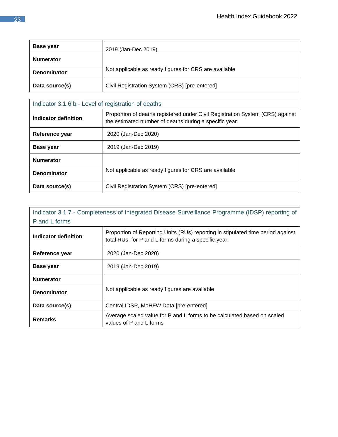| Base year          | 2019 (Jan-Dec 2019)                                   |
|--------------------|-------------------------------------------------------|
| <b>Numerator</b>   |                                                       |
| <b>Denominator</b> | Not applicable as ready figures for CRS are available |
| Data source(s)     | Civil Registration System (CRS) [pre-entered]         |

| Indicator 3.1.6 b - Level of registration of deaths |                                                                                                                                         |
|-----------------------------------------------------|-----------------------------------------------------------------------------------------------------------------------------------------|
| Indicator definition                                | Proportion of deaths registered under Civil Registration System (CRS) against<br>the estimated number of deaths during a specific year. |
| Reference year                                      | 2020 (Jan-Dec 2020)                                                                                                                     |
| <b>Base year</b>                                    | 2019 (Jan-Dec 2019)                                                                                                                     |
| <b>Numerator</b>                                    |                                                                                                                                         |
| <b>Denominator</b>                                  | Not applicable as ready figures for CRS are available                                                                                   |
| Data source(s)                                      | Civil Registration System (CRS) [pre-entered]                                                                                           |

<span id="page-22-0"></span>

| Indicator 3.1.7 - Completeness of Integrated Disease Surveillance Programme (IDSP) reporting of<br>P and L forms |                                                                                                                                         |
|------------------------------------------------------------------------------------------------------------------|-----------------------------------------------------------------------------------------------------------------------------------------|
| Indicator definition                                                                                             | Proportion of Reporting Units (RUs) reporting in stipulated time period against<br>total RUs, for P and L forms during a specific year. |
| Reference year                                                                                                   | 2020 (Jan-Dec 2020)                                                                                                                     |
| <b>Base year</b>                                                                                                 | 2019 (Jan-Dec 2019)                                                                                                                     |
| <b>Numerator</b>                                                                                                 |                                                                                                                                         |
| <b>Denominator</b>                                                                                               | Not applicable as ready figures are available                                                                                           |
| Data source(s)                                                                                                   | Central IDSP, MoHFW Data [pre-entered]                                                                                                  |
| <b>Remarks</b>                                                                                                   | Average scaled value for P and L forms to be calculated based on scaled<br>values of P and L forms                                      |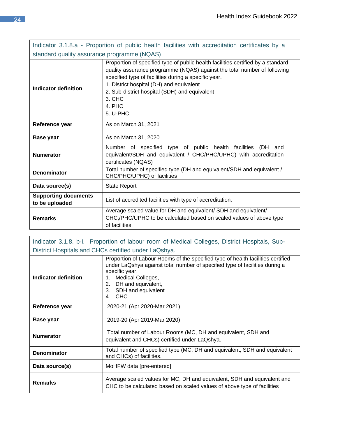<span id="page-23-0"></span>

| Indicator 3.1.8.a - Proportion of public health facilities with accreditation certificates by a |                                                                                                                                                                                                                                                                                                                                                   |
|-------------------------------------------------------------------------------------------------|---------------------------------------------------------------------------------------------------------------------------------------------------------------------------------------------------------------------------------------------------------------------------------------------------------------------------------------------------|
| standard quality assurance programme (NQAS)                                                     |                                                                                                                                                                                                                                                                                                                                                   |
| <b>Indicator definition</b>                                                                     | Proportion of specified type of public health facilities certified by a standard<br>quality assurance programme (NQAS) against the total number of following<br>specified type of facilities during a specific year.<br>1. District hospital (DH) and equivalent<br>2. Sub-district hospital (SDH) and equivalent<br>3. CHC<br>4. PHC<br>5. U-PHC |
| Reference year                                                                                  | As on March 31, 2021                                                                                                                                                                                                                                                                                                                              |
| Base year                                                                                       | As on March 31, 2020                                                                                                                                                                                                                                                                                                                              |
| <b>Numerator</b>                                                                                | Number of specified type of public health facilities<br>(DH<br>and<br>equivalent/SDH and equivalent / CHC/PHC/UPHC) with accreditation<br>certificates (NQAS)                                                                                                                                                                                     |
| <b>Denominator</b>                                                                              | Total number of specified type (DH and equivalent/SDH and equivalent /<br>CHC/PHC/UPHC) of facilities                                                                                                                                                                                                                                             |
| Data source(s)                                                                                  | <b>State Report</b>                                                                                                                                                                                                                                                                                                                               |
| <b>Supporting documents</b><br>to be uploaded                                                   | List of accredited facilities with type of accreditation.                                                                                                                                                                                                                                                                                         |
| <b>Remarks</b>                                                                                  | Average scaled value for DH and equivalent/ SDH and equivalent/<br>CHC,/PHC/UPHC to be calculated based on scaled values of above type<br>of facilities.                                                                                                                                                                                          |

<span id="page-23-1"></span>Indicator 3.1.8. b-i. Proportion of labour room of Medical Colleges, District Hospitals, Sub-District Hospitals and CHCs certified under LaQshya. **Indicator definition** Proportion of Labour Rooms of the specified type of health facilities certified under LaQshya against total number of specified type of facilities during a specific year. 1. Medical Colleges, 2. DH and equivalent, 3. SDH and equivalent 4. CHC **Reference year** 2020-21 (Apr 2020-Mar 2021) **Base year** 2019-20 (Apr 2019-Mar 2020) **Numerator** Total number of Labour Rooms (MC, DH and equivalent, SDH and equivalent and CHCs) certified under LaQshya. **Denominator** Total number of specified type (MC, DH and equivalent, SDH and equivalent and CHCs) of facilities. **Data source(s)** MoHFW data [pre-entered] **Remarks** Average scaled values for MC, DH and equivalent, SDH and equivalent and CHC to be calculated based on scaled values of above type of facilities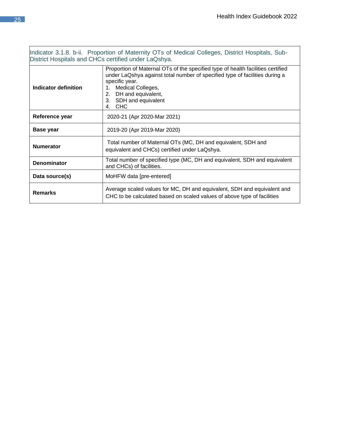٦

<span id="page-24-0"></span>

| Indicator 3.1.8. b-ii. Proportion of Maternity OTs of Medical Colleges, District Hospitals, Sub-<br>District Hospitals and CHCs certified under LaQshya. |                                                                                                                                                                                                                                                                                         |
|----------------------------------------------------------------------------------------------------------------------------------------------------------|-----------------------------------------------------------------------------------------------------------------------------------------------------------------------------------------------------------------------------------------------------------------------------------------|
| Indicator definition                                                                                                                                     | Proportion of Maternal OTs of the specified type of health facilities certified<br>under LaQshya against total number of specified type of facilities during a<br>specific year.<br>Medical Colleges,<br>1.<br>DH and equivalent,<br>2.<br>SDH and equivalent<br>3.<br><b>CHC</b><br>4. |
| Reference year                                                                                                                                           | 2020-21 (Apr 2020-Mar 2021)                                                                                                                                                                                                                                                             |
| Base year                                                                                                                                                | 2019-20 (Apr 2019-Mar 2020)                                                                                                                                                                                                                                                             |
| <b>Numerator</b>                                                                                                                                         | Total number of Maternal OTs (MC, DH and equivalent, SDH and<br>equivalent and CHCs) certified under LaQshya.                                                                                                                                                                           |
| <b>Denominator</b>                                                                                                                                       | Total number of specified type (MC, DH and equivalent, SDH and equivalent<br>and CHCs) of facilities.                                                                                                                                                                                   |
| Data source(s)                                                                                                                                           | MoHFW data [pre-entered]                                                                                                                                                                                                                                                                |
| <b>Remarks</b>                                                                                                                                           | Average scaled values for MC, DH and equivalent, SDH and equivalent and<br>CHC to be calculated based on scaled values of above type of facilities                                                                                                                                      |